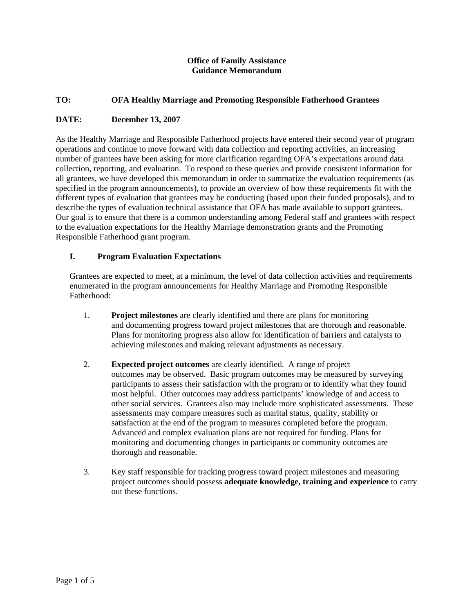## **Office of Family Assistance Guidance Memorandum**

## **TO: OFA Healthy Marriage and Promoting Responsible Fatherhood Grantees**

## **DATE: December 13, 2007**

As the Healthy Marriage and Responsible Fatherhood projects have entered their second year of program operations and continue to move forward with data collection and reporting activities, an increasing number of grantees have been asking for more clarification regarding OFA's expectations around data collection, reporting, and evaluation. To respond to these queries and provide consistent information for all grantees, we have developed this memorandum in order to summarize the evaluation requirements (as specified in the program announcements), to provide an overview of how these requirements fit with the different types of evaluation that grantees may be conducting (based upon their funded proposals), and to describe the types of evaluation technical assistance that OFA has made available to support grantees. Our goal is to ensure that there is a common understanding among Federal staff and grantees with respect to the evaluation expectations for the Healthy Marriage demonstration grants and the Promoting Responsible Fatherhood grant program.

## **I. Program Evaluation Expectations**

Grantees are expected to meet, at a minimum, the level of data collection activities and requirements enumerated in the program announcements for Healthy Marriage and Promoting Responsible Fatherhood:

- 1. **Project milestones** are clearly identified and there are plans for monitoring and documenting progress toward project milestones that are thorough and reasonable. Plans for monitoring progress also allow for identification of barriers and catalysts to achieving milestones and making relevant adjustments as necessary.
- 2. **Expected project outcomes** are clearly identified. A range of project outcomes may be observed. Basic program outcomes may be measured by surveying participants to assess their satisfaction with the program or to identify what they found most helpful. Other outcomes may address participants' knowledge of and access to other social services. Grantees also may include more sophisticated assessments. These assessments may compare measures such as marital status, quality, stability or satisfaction at the end of the program to measures completed before the program. Advanced and complex evaluation plans are not required for funding. Plans for monitoring and documenting changes in participants or community outcomes are thorough and reasonable.
- 3. Key staff responsible for tracking progress toward project milestones and measuring project outcomes should possess **adequate knowledge, training and experience** to carry out these functions.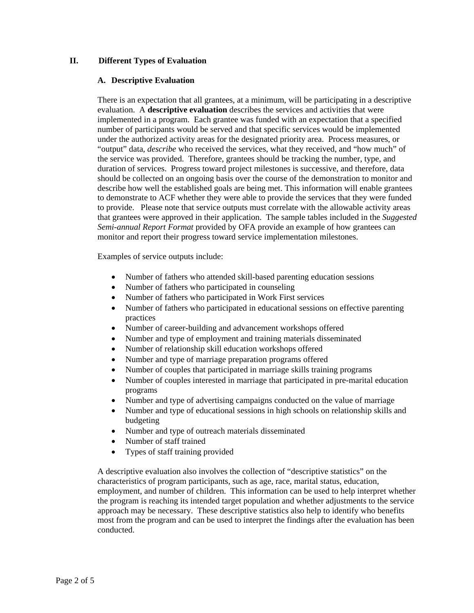# **II. Different Types of Evaluation**

## **A. Descriptive Evaluation**

There is an expectation that all grantees, at a minimum, will be participating in a descriptive evaluation. A **descriptive evaluation** describes the services and activities that were implemented in a program. Each grantee was funded with an expectation that a specified number of participants would be served and that specific services would be implemented under the authorized activity areas for the designated priority area. Process measures, or "output" data, *describe* who received the services, what they received, and "how much" of the service was provided. Therefore, grantees should be tracking the number, type, and duration of services. Progress toward project milestones is successive, and therefore, data should be collected on an ongoing basis over the course of the demonstration to monitor and describe how well the established goals are being met. This information will enable grantees to demonstrate to ACF whether they were able to provide the services that they were funded to provide. Please note that service outputs must correlate with the allowable activity areas that grantees were approved in their application. The sample tables included in the *Suggested Semi-annual Report Format* provided by OFA provide an example of how grantees can monitor and report their progress toward service implementation milestones.

Examples of service outputs include:

- Number of fathers who attended skill-based parenting education sessions
- Number of fathers who participated in counseling
- Number of fathers who participated in Work First services
- Number of fathers who participated in educational sessions on effective parenting practices
- Number of career-building and advancement workshops offered
- Number and type of employment and training materials disseminated
- Number of relationship skill education workshops offered
- Number and type of marriage preparation programs offered
- Number of couples that participated in marriage skills training programs
- Number of couples interested in marriage that participated in pre-marital education programs
- Number and type of advertising campaigns conducted on the value of marriage
- Number and type of educational sessions in high schools on relationship skills and budgeting
- Number and type of outreach materials disseminated
- Number of staff trained
- Types of staff training provided

A descriptive evaluation also involves the collection of "descriptive statistics" on the characteristics of program participants, such as age, race, marital status, education, employment, and number of children. This information can be used to help interpret whether the program is reaching its intended target population and whether adjustments to the service approach may be necessary. These descriptive statistics also help to identify who benefits most from the program and can be used to interpret the findings after the evaluation has been conducted.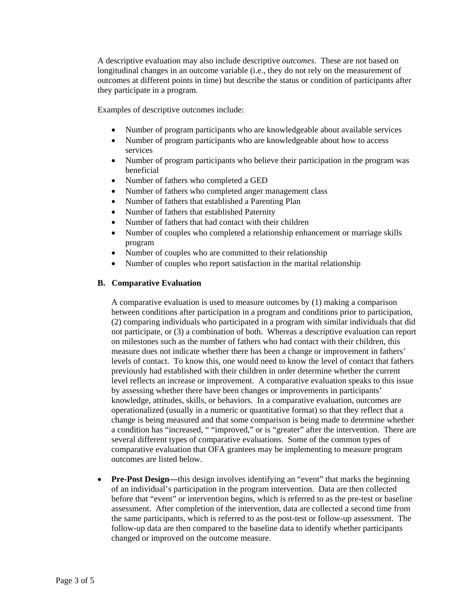A descriptive evaluation may also include descriptive *outcomes*. These are not based on longitudinal changes in an outcome variable (i.e., they do not rely on the measurement of outcomes at different points in time) but describe the status or condition of participants after they participate in a program.

Examples of descriptive outcomes include:

- Number of program participants who are knowledgeable about available services
- Number of program participants who are knowledgeable about how to access services
- Number of program participants who believe their participation in the program was beneficial
- Number of fathers who completed a GED
- Number of fathers who completed anger management class
- Number of fathers that established a Parenting Plan
- Number of fathers that established Paternity
- Number of fathers that had contact with their children
- Number of couples who completed a relationship enhancement or marriage skills program
- Number of couples who are committed to their relationship
- Number of couples who report satisfaction in the marital relationship

#### **B. Comparative Evaluation**

A comparative evaluation is used to measure outcomes by (1) making a comparison between conditions after participation in a program and conditions prior to participation, (2) comparing individuals who participated in a program with similar individuals that did not participate, or (3) a combination of both. Whereas a descriptive evaluation can report on milestones such as the number of fathers who had contact with their children, this measure does not indicate whether there has been a change or improvement in fathers' levels of contact. To know this, one would need to know the level of contact that fathers previously had established with their children in order determine whether the current level reflects an increase or improvement. A comparative evaluation speaks to this issue by assessing whether there have been changes or improvements in participants' knowledge, attitudes, skills, or behaviors. In a comparative evaluation, outcomes are operationalized (usually in a numeric or quantitative format) so that they reflect that a change is being measured and that some comparison is being made to determine whether a condition has "increased, " "improved," or is "greater" after the intervention. There are several different types of comparative evaluations. Some of the common types of comparative evaluation that OFA grantees may be implementing to measure program outcomes are listed below.

• **Pre-Post Design—**this design involves identifying an "event" that marks the beginning of an individual's participation in the program intervention. Data are then collected before that "event" or intervention begins, which is referred to as the pre-test or baseline assessment. After completion of the intervention, data are collected a second time from the same participants, which is referred to as the post-test or follow-up assessment. The follow-up data are then compared to the baseline data to identify whether participants changed or improved on the outcome measure.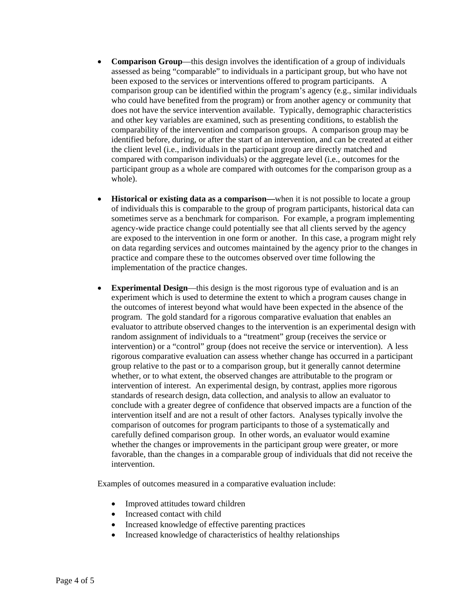- **Comparison Group**—this design involves the identification of a group of individuals assessed as being "comparable" to individuals in a participant group, but who have not been exposed to the services or interventions offered to program participants. A comparison group can be identified within the program's agency (e.g., similar individuals who could have benefited from the program) or from another agency or community that does not have the service intervention available. Typically, demographic characteristics and other key variables are examined, such as presenting conditions, to establish the comparability of the intervention and comparison groups. A comparison group may be identified before, during, or after the start of an intervention, and can be created at either the client level (i.e., individuals in the participant group are directly matched and compared with comparison individuals) or the aggregate level (i.e., outcomes for the participant group as a whole are compared with outcomes for the comparison group as a whole).
- **Historical or existing data as a comparison—when it is not possible to locate a group** of individuals this is comparable to the group of program participants, historical data can sometimes serve as a benchmark for comparison. For example, a program implementing agency-wide practice change could potentially see that all clients served by the agency are exposed to the intervention in one form or another. In this case, a program might rely on data regarding services and outcomes maintained by the agency prior to the changes in practice and compare these to the outcomes observed over time following the implementation of the practice changes.
- **Experimental Design**—this design is the most rigorous type of evaluation and is an experiment which is used to determine the extent to which a program causes change in the outcomes of interest beyond what would have been expected in the absence of the program. The gold standard for a rigorous comparative evaluation that enables an evaluator to attribute observed changes to the intervention is an experimental design with random assignment of individuals to a "treatment" group (receives the service or intervention) or a "control" group (does not receive the service or intervention). A less rigorous comparative evaluation can assess whether change has occurred in a participant group relative to the past or to a comparison group, but it generally cannot determine whether, or to what extent, the observed changes are attributable to the program or intervention of interest. An experimental design, by contrast, applies more rigorous standards of research design, data collection, and analysis to allow an evaluator to conclude with a greater degree of confidence that observed impacts are a function of the intervention itself and are not a result of other factors. Analyses typically involve the comparison of outcomes for program participants to those of a systematically and carefully defined comparison group. In other words, an evaluator would examine whether the changes or improvements in the participant group were greater, or more favorable, than the changes in a comparable group of individuals that did not receive the intervention.

Examples of outcomes measured in a comparative evaluation include:

- Improved attitudes toward children
- Increased contact with child
- Increased knowledge of effective parenting practices
- Increased knowledge of characteristics of healthy relationships